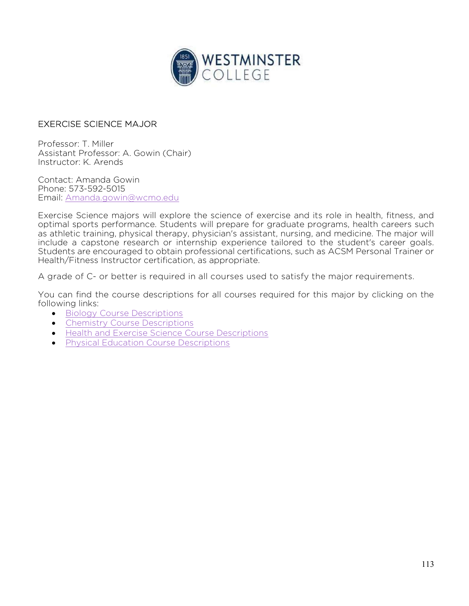

## EXERCISE SCIENCE MAJOR

Professor: T. Miller Assistant Professor: A. Gowin (Chair) Instructor: K. Arends

Contact: Amanda Gowin Phone: 573-592-5015 Email: Amanda.gowin@wcmo.edu

Exercise Science majors will explore the science of exercise and its role in health, fitness, and optimal sports performance. Students will prepare for graduate programs, health careers such as athletic training, physical therapy, physician's assistant, nursing, and medicine. The major will include a capstone research or internship experience tailored to the student's career goals. Students are encouraged to obtain professional certifications, such as ACSM Personal Trainer or Health/Fitness Instructor certification, as appropriate.

A grade of C- or better is required in all courses used to satisfy the major requirements.

You can find the course descriptions for all courses required for this major by clicking on the following links:

- **•** Biology Course Descriptions
- Chemistry Course Descriptions
- Health and Exercise Science Course Descriptions
- **•** Physical Education Course Descriptions